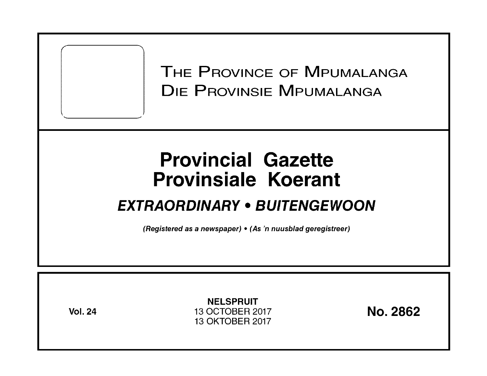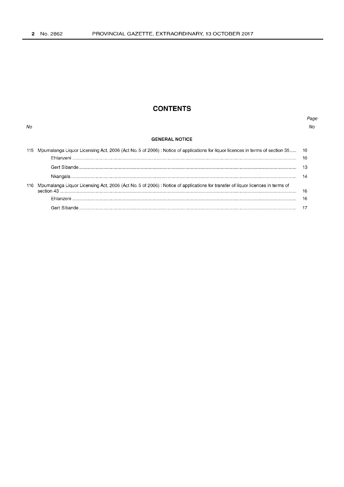No

# **CONTENTS**

## Page  $N_O$

## **GENERAL NOTICE**

|     | 115 Mpumalanga Liquor Licensing Act, 2006 (Act No. 5 of 2006) : Notice of applications for liquor licences in terms of section 35 10 |     |
|-----|--------------------------------------------------------------------------------------------------------------------------------------|-----|
|     |                                                                                                                                      |     |
|     |                                                                                                                                      |     |
|     |                                                                                                                                      | 14  |
|     |                                                                                                                                      |     |
| 116 | Mpumalanga Liquor Licensing Act, 2006 (Act No. 5 of 2006) : Notice of applications for transfer of liquor licences in terms of       |     |
|     |                                                                                                                                      | -16 |
|     |                                                                                                                                      | 16  |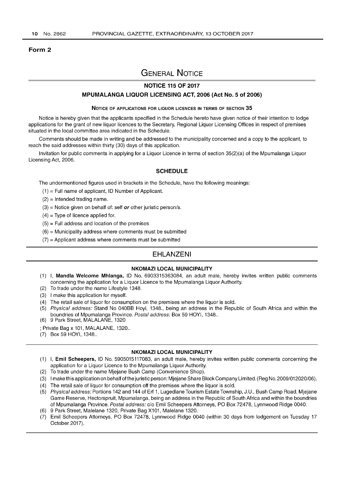#### Form 2

# GENERAL NOTICE

## NOTICE 115 OF 2017

## MPUMALANGA LIQUOR LICENSING ACT, 2006 (Act No.5 of 2006)

#### NOTICE OF APPLICATIONS FOR LIQUOR LICENCES IN TERMS OF SECTION 35

Notice is hereby given that the applicants specified in the Schedule hereto have given notice of their intention to lodge applications for the grant of new liquor licences to the Secretary, Regional Liquor Licensing Offices in respect of premises situated in the local committee area indicated in the Schedule.

Comments should be made in writing and be addressed to the municipality concerned and a copy to the applicant, to reach the said addresses within thirty (30) days of this application.

Invitation for public comments in applying for a Liquor Licence in terms of section 35(2)(a) of the Mpumalanga Liquor Licensing Act, 2006.

## **SCHEDULE**

The undermentioned figures used in brackets in the Schedule, have the following meanings:

- $(1)$  = Full name of applicant, ID Number of Applicant.
- $(2)$  = Intended trading name.
- $(3)$  = Notice given on behalf of: self or other juristic person/s.
- $(4)$  = Type of licence applied for.
- $(5)$  = Full address and location of the premises
- $(6)$  = Municipality address where comments must be submitted
- $(7)$  = Applicant address where comments must be submitted

# EHLANZENI

### NKOMAZI LOCAL MUNICIPALITY

- (1) I, Mandla Welcome Mhlanga, 10 No. 6903315363084, an adult male, hereby invites written public comments concerning the application for a Liquor Licence to the Mpumalanga Liquor Authority.
- (2) To trade under the name Lifestyle 1348.
- (3) I make this application for myself.
- (4) The retail sale of liquor for consumption on the premises where the liquor is sold.
- (5) Physical address: Stand No 040BB Hoyi, 1348., being an address in the Republic of South Africa and within the boundries of Mpumalanga Province. Postal address: Box 59 HOYI, 1348..
- (6) 9 Park Street, MALALANE, 1320
- ; Private Bag x 101, MALALANE, 1320 ..
- (7) Box 59 HOYI, 1348 ..

#### NKOMAZI LOCAL MUNICIPALITY

- (1) I, Emil Scheepers, 10 No. 5905015117083, an adult male, hereby invites written public comments concerning the application for a Liquor Licence to the Mpumalanga Liquor Authority.
- (2) To trade under the name Mjejane Bush Camp (Convenience Shop).
- (3) I make this application on behalf of the juristic person: Mjejane Share Block Company Limited. (Reg No. 2009/012020/06).
- (4) The retail sale of liquor for consumption off the premises where the liquor is sold.
- (5) Physical address: Portions 142 and 144 of Erf 1, Lugedlane Tourism Estate Township, J.U., Bush Camp Road, Mjejane Game Reserve, Hectorspruit, Mpumalanga, being an address in the Republic of South Africa and within the boundries of Mpumalanga Province. Postal address: c/o Emil Scheepers Attorneys, PO Box 72478, Lynnwood Ridge 0040.
- (6) 9 Park Street, Malelane 1320, Private Bag X101, Malelane 1320.
- (7) Emil Scheepers Attorneys, PO Box 72478, Lynnwood Ridge 0040 (within 30 days from lodgement on Tuesday 17 October 2017).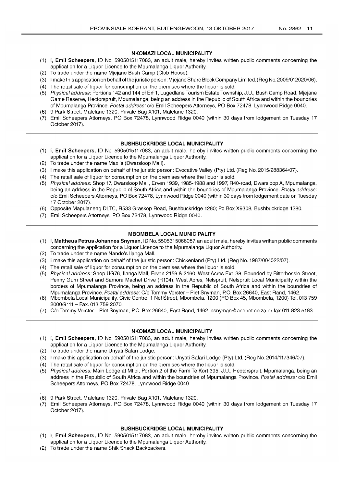### NKOMAZI LOCAL MUNICIPALITY

- (1) I, Emil Scheepers, ID No. 5905015117083, an adult male, hereby invites written public comments concerning the application for a Liquor Licence to the Mpumalanga Liquor Authority.
- (2) To trade under the name Mjejane Bush Camp (Club House).
- (3) I make this application on behalf of the juristic person: Mjejane Share Block Company Limited. (Reg No. 2009/012020/06).
- (4) The retail sale of liquor for consumption on the premises where the liquor is sold.
- (5) Physical address: Portions 142 and 144 of Erf 1, Lugedlane Tourism Estate Township, J.U., Bush Camp Road, Mjejane Game Reserve, Hectorspruit, Mpumalanga, being an address in the Republic of South Africa and within the boundries of Mpumalanga Province. Postal address: c/o Emil Scheepers Attorneys, PO Box 72478, Lynnwood Ridge 0040.
- (6) 9 Park Street, Malelane 1320, Private Bag X101, Malelane 1320.
- (7) Emil Scheepers Attorneys, PO Box 72478, Lynnwood Ridge 0040 (within 30 days from lodgement on Tuesday 17 October 2017).

## BUSHBUCKRIDGE LOCAL MUNICIPALITY

- (1) I, Emil Scheepers, ID No. 5905015117083, an adult male, hereby invites written public comments concerning the application for a Liquor Licence to the Mpumalanga Liquor Authority.
- (2) To trade under the name Maxi's (Dwarsloop Mall).
- (3) I make this application on behalf of the juristic person: Evocative Valley (Pty) Ltd. (Reg No. 2015/288364/07).
- (4) The retail sale of liquor for consumption on the premises where the liquor is sold.
- (5) Physical address: Shop 17, Dwarsloop Mall, Erven 1939, 1985-1988 and 1997, R40-road, Dwarsloop A, Mpumalanga, being an address in the Republic of South Africa and within the boundries of Mpumalanga Province. Postal address: c/o Emil Scheepers Attorneys, PO Box 72478, Lynnwood Ridge 0040 (within 30 days from lodgement date on Tuesday 17 October 2017).
- (6) Opposite Mapulaneng DLTC, R533 Graskop Road, Bushbuckridge 1280; Po Box X9308, Bushbuckridge 1280.
- (7) Emil Scheepers Attorneys, PO Box 72478, Lynnwood Ridge 0040.

## MBOMBELA LOCAL MUNICIPALITY

- (1) I, Mattheus Petrus Johannes Snyman, ID No. 5505315066087, an adult male, hereby invites written public comments concerning the application for a Liquor Licence to the Mpumalanga Liquor Authority.
- (2) To trade under the name Nando's lIanga Mall.
- (3) I make this application on behalf of the juristic person: Chickenland (Pty) Ltd. (Reg No. 1987/004022/07).
- (4) The retail sale of liquor for consumption on the premises where the liquor is sold.
- (5) Physical address: Shop UG76, lIanga Mall, Erven 2159 & 2160, West Acres Ext. 38, Bounded by Bitterbessie Street, Penny Gum Street and Samora Machel Drive (R104), West Acres, Nelspruit, Nelspruit Local Municipality within the borders of Mpumalanga Province, being an address in the Republic of South Africa and within the boundries of Mpumalanga Province. Postal address: C/o Tommy Vorster - Piet Snyman, P.O. Box 26640, East Rand, 1462.
- (6) Mbombela Local Municipality, Civic Centre, 1 Nel Street, Mbombela, 1200 (PO Box 45, Mbombela, 1200) Tel. 013 759 2000/9111 - Fax. 013 759 2070.
- (7) C/o Tommy Vorster Piet Snyman, PO. Box 26640, East Rand, 1462. psnyman@acenet.co.za or fax 011 8235183.

### NKOMAZI LOCAL MUNICIPALITY

- (1) I, Emil Scheepers, ID No. 5905015117083, an adult male, hereby invites written public comments concerning the application for a Liquor Licence to the Mpumalanga Liquor Authority.
- (2) To trade under the name Unyati Safari Lodge.
- (3) I make this application on behalf of the juristic person: Unyati Safari Lodge (Pty) Ltd. (Reg No. 2014/117346/07).
- (4) The retail sale of liquor for consumption on the premises where the liquor is sold.
- (5) Physical address: Main Lodge at Mtibi, Portion 2 of the Farm Te Kort 395, J.U., Hectorspruit, Mpumalanga, being an address in the Republic of South Africa and within the boundries of Mpumalanga Province. Postal address: c/o Emil Scheepers Attorneys, PO Box 72478, Lynnwood Ridge 0040
- (6) 9 Park Street, Malelane 1320, Private Bag X101, Malelane 1320.
- (7) Emil Scheepers Attorneys, PO Box 72478, Lynnwood Ridge 0040 (within 30 days from lodgement on Tuesday 17 October 2017).

### BUSHBUCKRIDGE LOCAL MUNICIPALITY

- (1) I, Emil Scheepers, ID No. 5905015117083, an adult male, hereby invites written public comments concerning the application for a Liquor Licence to the Mpumalanga Liquor Authority.
- (2) To trade under the name Shik Shack Backpackers.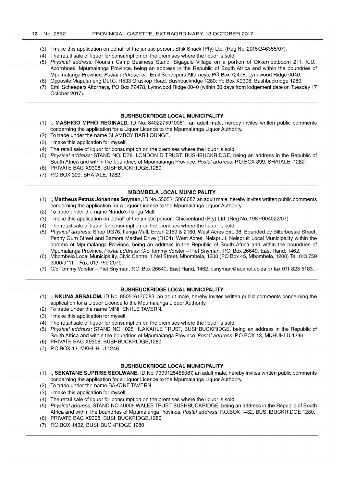- (3) I make this application on behalf of the juristic person: Shik Shack (Pty) Ltd. (Reg No. 2015/246355/07).
- (4) The retail sale of liquor for consumption on the premises where the liquor is sold.
- (5) Physical address: Nourish Camp Business Stand, Sigagule Village on a portion of Okkernootboom 211, K.U., Acornhoek, Mpumalanga Province, being an address in the Republic of South Africa and within the boundries of Mpumalanga Province. Postal address: c/o Emil Scheepers Attorneys, PO Box 72478, Lynnwood Ridge 0040.
- (6) Opposite Mapulaneng DLTC, R533 Graskop Road, Bushbuckridge 1280; Po Box X9308, Bushbuckridge 1280.
- (7) Emil Scheepers Attorneys, PO Box 72478, Lynnwood Ridge 0040 (within 30 days from lodgement date on Tuesday 17 October 2017).

#### **BUSHBUCKRIDGE LOCAL MUNICIPALITY**

- (1) I, **MASHIGO MPHO REGINALD,** ID No. 8402275910081, an adult male, hereby invites written public comments concerning the application for a Liquor Licence to the Mpumalanga Liquor Authority.
- (2) To trade under the name SLAMBOY BAR LOUNGE.
- (3) I make this application for myself.
- (4) The retail sale of liquor for consumption on the premises where the liquor is sold.
- (5) Physical address: STAND NO. D78, LONDON D TRUST, BUSHBUCKRIDGE, being an address in the Republic of South Africa and within the boundries of Mpumalanga Province. Postal address: P.O.BOX 399, SHATALE, 1282.
- (6) PRIVATE BAG X9308, BUSHBUCKRIDGE,1280.
- (7) PO. BOX 399, SHATALE, 1282.

#### **MBOMBELA LOCAL MUNICIPALITY**

- (1) I, **Mattheus Petrus Johannes Snyman,** ID No. 5505315066087, an adult male, hereby invites written public comments concerning the application for a Liquor Licence to the Mpumalanga Liquor Authority.
- (2) To trade under the name Nando's lIanga Mall.
- (3) I make this application on behalf of the juristic person: Chickenland (Pty) Ltd. (Reg No. 1987/004022/07).
- (4) The retail sale of liquor for consumption on the premises where the liquor is sold.
- (5) Physical address: Shop UG76, lIanga Mall, Erven 2159 & 2160, West Acres Ext. 38, Bounded by Bitterbessie Street, Penny Gum Street and Samora Machel Drive (R104), West Acres, Nelspruit, Nelspruit Local Municipality within the borders of Mpumalanga Province, being an address in the Republic of South Africa and within the boundries of Mpumalanga Province. Postal address: C/o Tommy Vorster - Piet Snyman, P.O. Box 26640, East Rand, 1462.
- (6) Mbombela Local Municipality, Civic Centre, 1 Nel Street, Mbombela, 1200 (PO Box 45, Mbombela, 1200) Tel. 013 759 2000/9111 - Fax. 013 759 2070.
- (7) C/o Tommy Vorster Piet Snyman, PO. Box 26640, East Rand, 1462. psnyman@acenet.co.za or fax 011 8235183.

## **BUSHBUCKRIDGE LOCAL MUNICIPALITY**

- (1) I, **NKUNA ABSALOM,** ID No. 850516170083, an adult male, hereby invites written public comments concerning the application for a Liquor Licence to the Mpumalanga Liquor Authority.
- (2) To trade under the name MINI ENHLE TAVERN.
- (3) I make this application for myself.
- (4) The retail sale of liquor for consumption on the premises where the liquor is sold.
- (5) Physical address: STAND NO 1025 HLAKAHLE TRUST, BUSHBUCKRIDGE, being an address in the Republic of South Africa and within the boundries of Mpumalanga Province. Postal address: P.O.BOX 13, MKHUHLU 1246.
- (6) PRIVATE BAG X9308, BUSHBUCKRIDGE,1280.
- (7) PO. BOX 13, MKHUHLU 1246.

## **BUSHBUCKRIDGE LOCAL MUNICIPALITY**

- (1) I, **SEKATANE SUPRISE SEOLWANE,** ID No. 7309125455087, an adult male, hereby invites written public comments concerning the application for a Liquor Licence to the Mpumalanga Liquor Authority.
- (2) To trade under the name BAKONE TAVERN.
- (3) I make this application for myself.
- (4) The retail sale of liquor for consumption on the premises where the liquor is sold.
- (5) Physical address: STAND NO 40005 WALES TRUST BUSHBUCKRIDGE, being an address in the Republic of South Africa and within the boundries of Mpumalanga Province. Postal address: P.O.BOX 1432, BUSHBUCKRIDGE 1280.
- (6) PRIVATE BAG X9308, BUSHBUCKRIDGE,1280.
- (7) PO. BOX 1432, BUSHBUCKRIDGE 1280.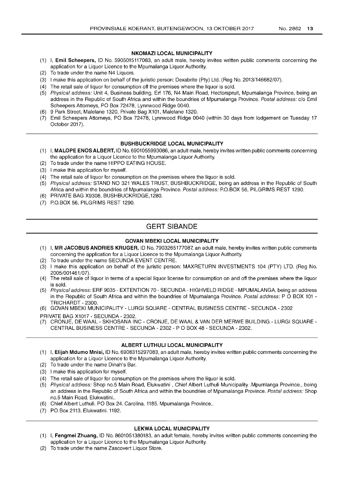## **NKOMAZI LOCAL MUNICIPALITY**

- (1) I, **Emil Scheepers,** ID No. 5905015117083, an adult male, hereby invites written public comments concerning the application for a Liquor Licence to the Mpumalanga Liquor Authority.
- (2) To trade under the name N4 Liquors.
- (3) I make this application on behalf of the juristic person: Dexabrite (Pty) Ltd. (Reg No. 2013/146682/07).
- (4) The retail sale of liquor for consumption off the premises where the liquor is sold.
- (5) Physical address: Unit 4, Business building, Erf 176, N4 Main Road, Hectorspruit, Mpumalanga Province, being an address in the Republic of South Africa and within the boundries of Mpumalanga Province. Postal address: c/o Emil Scheepers Attorneys, PO Box 72478, Lynnwood Ridge 0040.
- (6) 9 Park Street, Malelane 1320, Private Bag X101, Malelane 1320.
- (7) Emil Scheepers Attorneys, PO Box 72478, Lynnwood Ridge 0040 (within 30 days from lodgement on Tuesday 17 October 2017).

## **BUSHBUCKRIDGE LOCAL MUNICIPALITY**

- (1) I, **MALOPE** ENOS ALBERT, ID No. 6901055993086, an adult male, hereby invites written public comments concerning the application for a Liquor Licence to the Mpumalanga Liquor Authority.
- (2) To trade under the name HIPPO EATING HOUSE.
- (3) I make this application for myself.
- (4) The retail sale of liquor for consumption on the premises where the liquor is sold.
- (5) Physical address: STAND NO 321 WALES TRUST, BUSHBUCKRIDGE, being an address in the Republic of South Africa and within the boundries of Mpumalanga Province. Postal address: P.O.BOX 56, PILGRIMS REST 1290.
- (6) PRIVATE BAG X9308, BUSHBUCKRIDGE,1280.
- (7) P.O. BOX 56, PILGRIMS REST 1290.

# **GERT SIBANDE**

## **GOVAN MBEKI LOCAL MUNICIPALITY**

- (1) I, **MR JACOBUS ANDRIES KRUGER,** ID No. 7903265177087, an adult male, hereby invites written public comments concerning the application for a Liquor Licence to the Mpumalanga Liquor Authority.
- (2) To trade under the name SECUNDA EVENT CENTRE.
- (3) I make this application on behalf of the juristic person: MAXRETURN INVESTMENTS 104 (PTY) LTD. (Reg No. 2005/001461/07) .
- (4) The retail sale of liquor in terms of a special liquor license for consumption on and off the premises where the liquor is sold.
- (5) Physical address: ERF 9035 EXTENTION 70 SECUNDA HIGHVELD RIDGE MPUMALANGA, being an address in the Republic of South Africa and within the boundries of Mpumalanga Province. Postal address: P O BOX 101 -TRICHARDT - 2300.
- (6) GOVAN MBEKI MUNICIPALITY LURGI SQUARE CENTRAL BUSINESS CENTRE SECUNDA 2302
- PRIVATE BAG X1017 SECUNDA 2302.
- (7) CRONJE, DE WAAL SKHOSANA INC CRONJE, DE WAAL & VAN DER MERWE BUILDING LURGI SQUARE CENTRAL BUSINESS CENTRE - SECUNDA - 2302 - POBOX 48 - SECUNDA - 2302.

## **ALBERT LUTHULI LOCAL MUNICIPALITY**

- (1) I, **Elijah Mdumo Mnisi,** ID No. 6908315297083, an adult male, hereby invites written public comments concerning the application for a Liquor Licence to the Mpumalanga Liquor Authority.
- (2) To trade under the name Dinah's Bar.
- (3) I make this application for myself.
- (4) The retail sale of liquor for consumption on the premises where the liquor is sold.
- (5) Physical address: Shop no.5 Main Road, Elukwatini, Chief Albert Luthuli Municipality .Mpumlanga Province., being an address in the Republic of South Africa and within the boundries of Mpumalanga Province. Postal address: Shop no.5 Main Road. Elukwatini..
- (6) Chief Albert Luthuli. PO Box 24. Carolina. 1185. Mpumalanga Province ..
- (7) PO Box 2113. Elukwatini. 1192.

## **LEKWA LOCAL MUNICIPALITY**

- (1) I, **Fengmei Zhuang,** ID No. 8601051380183, an adult female, hereby invites written public comments concerning the application for a Liquor Licence to the Mpumalanga Liquor Authority.
- (2) To trade under the name Zascovert Liquor Store.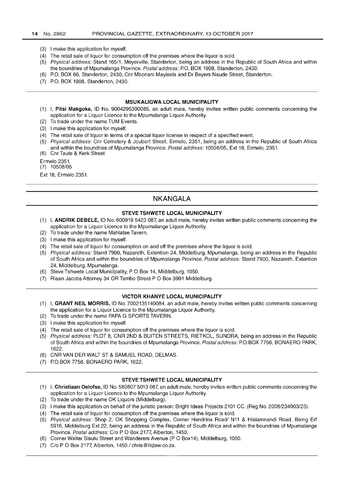- (3) I make this application for myself.
- (4) The retail sale of liquor for consumption off the premises where the liquor is sold.
- (5) Physical address: Stand 165/1, Meyerville, Standerton, being an address in the Republic of South Africa and within the boundries of Mpumalanga Province. Postal address: P.O. BOX 1908, Standerton, 2430.
- (6) P.O. BOX 66, Standerton, 2430, Cnr Mbonani Mayisela and Dr Beyers Naude Street, Standerton.
- (7) P.O. BOX 1908, Standerton, 2430.

#### **MSUKALIGWA LOCAL MUNICIPALITY**

- (1) I, **Pitsi Makgoka,** 10 No. 9004295390085, an adult male, hereby invites written public comments concerning the application for a Liquor Licence to the Mpumalanga Liquor Authority.
- (2) To trade under the name TUM Events.
- (3) I make this application for myself.
- (4) The retail sale of liquor in terms of a special liquor license in respect of a specified event.
- (5) Physical address: Cnr Cemetery & Joubert Street, Ermelo, 2351, being an address in the Republic of South Africa and within the boundries of Mpumalanga Province. Postal address: 10508/05, Ext 18, Ermelo, 2351. (6) Cnr Taute & Kerk Street
- 
- Ermelo 2351. (7) 10508/05

Ext 18, Ermelo 2351.

## **NKANGALA**

## **STEVE TSHWETE LOCAL MUNICIPALITY**

- (1) I, **ANDRIK DEBELE,** 10 No. 600919 5423 087, an adult male, hereby invites written public comments concerning the application for a Liquor Licence to the Mpumalanga Liquor Authority.
- (2) To trade under the name Mahlatse Tavern.
- (3) I make this application for myself.
- (4) The retail sale of liquor for consumption on and off the premises where the liquor is sold.
- (5) Physical address: Stand 7900, Nazareth, Extention 24, Middelburg, Mpumalanga, being an address in the Republic of South Africa and within the boundries of Mpumalanga Province. Postal address: Stand 7900, Nazareth, Extention 24, Middelburg, Mpumalanga.
- (6) Steve Tshwete Local Municipality, POBox 14, Middelburg, 1050.
- (7) Riaan Jacobs Attorney 34 OR Tambo Street POBox 3991 Middelburg.

#### **VICTOR KHANYE LOCAL MUNICIPALITY**

- (1) I, **GRANT NEIL MORRIS,** 10 No. 7002135140084, an adult male, hereby invites written public comments concerning the application for a Liquor Licence to the Mpumalanga Liquor Authority.
- (2) To trade under the name PAPA G SPORTS TAVERN.
- (3) I make this application for myself.
- (4) The retail sale of liquor for consumption off the premises where the liquor is sold.
- (5) Physical address: PLOT 8, CNR 2ND & BUITEN STREETS, RIETKOL, SUNDRA, being an address in the Republic of South Africa and within the boundries of Mpumalanga Province. Postal address: P.O. BOX 7756, BONAERO PARK, 1622.
- (6) CNR VAN DER WALT ST & SAMUEL ROAD, DELMAS.
- (7) P.O. BOX 7756, BONAERO PARK, 1622.

#### **STEVE TSHWETE LOCAL MUNICIPALITY**

- (1) I, **Christiaan Oelofse,** 10 No. 580807 5013 087, an adult male, hereby invites written public comments concerning the application for a Liquor Licence to the Mpumalanga Liquor Authority.
- (2) To trade under the name OK Liquors (Middelburg).
- (3) I make this application on behalf of the juristic person: Bright Ideas Projects 2101 CC. (Reg No. 2008/234903/23).
- (4) The retail sale of liquor for consumption off the premises where the liquor is sold.
- (5) Physical address: Shop 2, OK Shopping Complex, Corner Hendrina Road/ N11 & Hlalamnandi Road, Being Erf 5916, Middelburg Ext.22, being an address in the Republic of South Africa and within the boundries of Mpumalanga Province. Postal address: C/o P O Box 2177, Alberton, 1450.
- (6) Corner Walter Sisulu Street and Wanderers Avenue (P 0 Box14), Middelburg, 1050.
- (7) C/o POBox 2177, Alberton, 1450/ chris@liqlaw.co.za.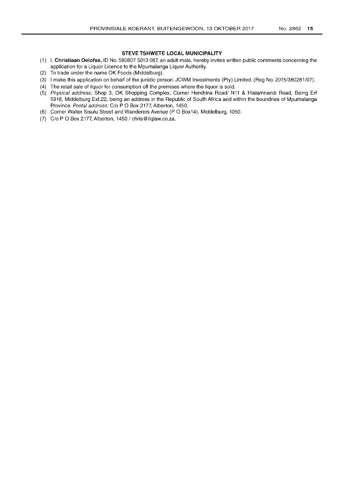## STEVE TSHWETE LOCAL MUNICIPALITY

- (1) I, Christiaan Oelofse, 10 No. 580807 5013 087, an adult male, hereby invites written public comments concerning the application for a Liquor Licence to the Mpumalanga Liquor Authority.
- (2) To trade under the name OK Foods (Middelburg).
- (3) I make this application on behalf of the juristic person: JCWM Investments (Pty) Limited. (Reg No. 2015/380281/07).
- (4) The retail sale of liquor for consumption off the premises where the liquor is sold.
- (5) Physical address: Shop 3, OK Shopping Complex, Corner Hendrina Roadl N11 & Hlalamnandi Road, Being Erf 5916, Middelburg Ext.22, being an address in the Republic of South Africa and within the boundries of Mpumalanga Province. Postal address: C/o P O Box 2177, Alberton, 1450.
- (6) Corner Walter Sisulu Street and Wanderers Avenue (P 0 Box14), Middelburg, 1050.
- (7)  $C/O P O Box 2177$ , Alberton, 1450 / chris@liglaw.co.za.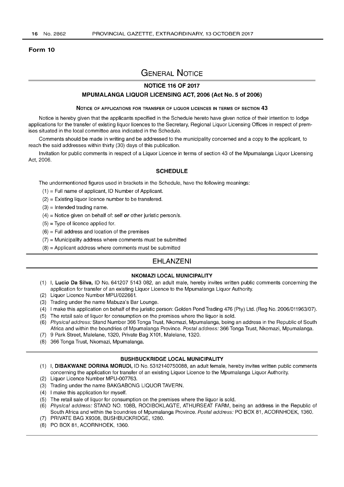### Form 10

# GENERAL NOTICE

## NOTICE 116 OF 2017

## MPUMALANGA LIQUOR LICENSING ACT, 2006 (Act No.5 of 2006)

#### NOTICE OF APPLICATIONS FOR TRANSFER OF LIQUOR LICENCES IN TERMS OF SECTION 43

Notice is hereby given that the applicants specified in the Schedule hereto have given notice of their intention to lodge applications for the transfer of existing liquor licences to the Secretary, Regional Liquor Licensing Offices in respect of premises situated in the local committee area indicated in the Schedule.

Comments should be made in writing and be addressed to the municipality concerned and a copy to the applicant, to reach the said addresses within thirty (30) days of this publication.

Invitation for public comments in respect of a Liquor Licence in terms of section 43 of the Mpumalanga Liquor Licensing Act, 2006.

## **SCHEDULE**

The undermentioned figures used in brackets in the Schedule, have the following meanings:

- $(1)$  = Full name of applicant, ID Number of Applicant.
- $(2)$  = Existing liquor licence number to be transfered.
- $(3)$  = Intended trading name.
- $(4)$  = Notice given on behalf of: self or other juristic person/s.
- $(5)$  = Type of licence applied for.
- $(6)$  = Full address and location of the premises
- $(7)$  = Municipality address where comments must be submitted
- $(8)$  = Applicant address where comments must be submitted

## EHLANZENI

## NKOMAZI LOCAL MUNICIPALITY

- (1) I, Lucio Da Silva, ID No. 641207 5143 082, an adult male, hereby invites written public comments concerning the application for transfer of an existing Liquor Licence to the Mpumalanga Liquor Authority.
- (2) Liquor Licence Number MPU/022661.
- (3) Trading under the name Mabuza's Bar Lounge.
- (4) I make this application on behalf of the juristic person: Golden Pond Trading 476 (Pty) Ltd. (Reg No. 2006/011963/07).
- (5) The retail sale of liquor for consumption on the premises where the liquor is sold.
- (6) Physical address: Stand Number 366 Tonga Trust, Nkomazi, Mpumalanga, being an address in the Republic of South Africa and within the boundries of Mpumalanga Province. Postal address: 366 Tonga Trust, Nkomazi, Mpumalanga.
- (7) 9 Park Street, Malelane, 1320, Private Bag X101, Malelane, 1320.
- (8) 366 Tonga Trust, Nkomazi, Mpumalanga.

## BUSHBUCKRIDGE LOCAL MUNICIPALITY

- (1) I, DIBAKWANE DORINA MORUDI, ID No. 5312140750088, an adult female, hereby invites written public comments concerning the application for transfer of an existing Liquor Licence to the Mpumalanga Liquor Authority.
- (2) Liquor Licence Number MPU-007763.
- (3) Trading under the name BAKGABONG LIQUOR TAVERN.
- (4) I make this application for myself.
- (5) The retail sale of liquor for consumption on the premises where the liquor is sold.
- (6) Physical address: STAND NO. 108B, ROOIBOKLAGTE, ATHURSEAT FARM, being an address in the Republic of South Africa and within the boundries of Mpumalanga Province. Postal address: PO BOX 81, ACORNHOEK, 1360.
- (7) PRIVATE BAG X9308, BUSHBUCKRIDGE, 1280.
- (8) PO BOX 81, ACORNHOEK, 1360.